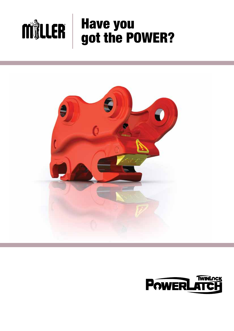



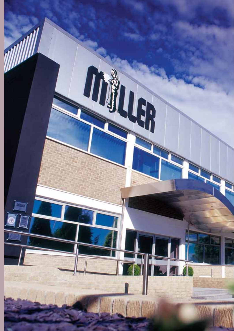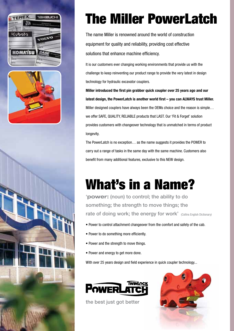





# The Miller PowerLatch

The name Miller is renowned around the world of construction equipment for quality and reliability, providing cost effective solutions that enhance machine efficiency.

It is our customers ever changing working environments that provide us with the challenge to keep reinventing our product range to provide the very latest in design technology for hydraulic excavator couplers.

**Miller introduced the first pin grabber quick coupler over 25 years ago and our latest design, the PowerLatch is another world first – you can ALWAYS trust Miller.**  Miller designed couplers have always been the OEMs choice and the reason is simple… we offer SAFE, QUALITY, RELIABLE products that LAST. Our 'Fit & Forget' solution provides customers with changeover technology that is unmatched in terms of product longevity.

The PowerLatch is no exception… as the name suggests it provides the POWER to carry out a range of tasks in the same day with the same machine. Customers also benefit from many additional features, exclusive to this NEW design.

### What's in a Name?

rate of doing work; the energy for work' (Collins English Dictionary) '**power:** (noun) to control; the ability to do something; the strength to move things; the

- Power to control attachment changeover from the comfort and safety of the cab.
- Power to do something more efficiently.
- Power and the strength to move things.
- Power and energy to get more done.

With over 25 years design and field experience in quick coupler technology...



the best just got better

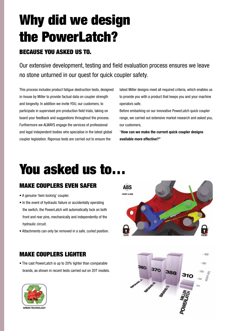# Why did we design the PowerLatch?

#### BECAUSE YOU ASKED US TO.

Our extensive development, testing and field evaluation process ensures we leave no stone unturned in our quest for quick coupler safety.

This process includes product fatigue destruction tests, designed in-house by Miller to provide factual data on coupler strength and longevity. In addition we invite YOU, our customers, to participate in supervised pre-production field trials, taking on board your feedback and suggestions throughout the process. Furthermore we ALWAYS engage the services of professional and legal independent bodies who specialise in the latest global coupler legislation. Rigorous tests are carried out to ensure the

latest Miller designs meet all required criteria, which enables us to provide you with a product that keeps you and your machine operators safe.

Before embarking on our innovative PowerLatch quick coupler range, we carried out extensive market research and asked you, our customers,

"**How can we make the current quick coupler designs available more effective?"**

## You asked us to…

#### Make couplers even safer

- A genuine 'twin locking' coupler.
- In the event of hydraulic failure or accidentally operating the switch, the PowerLatch will automatically lock on both front and rear pins, mechanically and independently of the hydraulic circuit.
- Attachments can only be removed in a safe, curled position.

# **FRONT & REAR ABS**



• The cast PowerLatch is up to 20% lighter than comparable brands, as shown in recent tests carried out on 20T models.



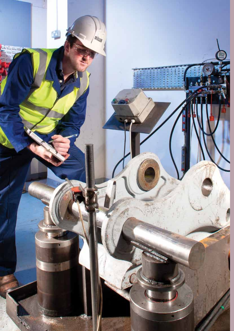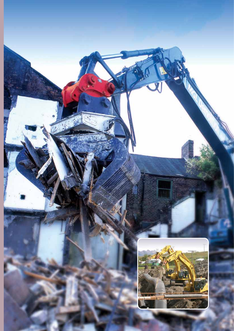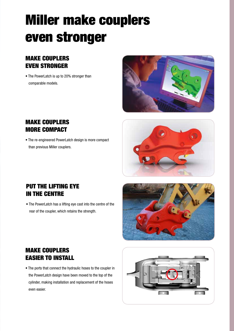### Miller make couplers even stronger

#### MAKE COUPLERS EVEN STRONGER

• The PowerLatch is up to 20% stronger than comparable models.



#### MAKE COUPLERS MORE COMPACT

• The re-engineered PowerLatch design is more compact than previous Miller couplers.



#### PUT THE LIFTING EYE IN THE CENTRE

• The PowerLatch has a lifting eye cast into the centre of the rear of the coupler, which retains the strength.



#### MAKE COUPLERS EASIER TO INSTALL

• The ports that connect the hydraulic hoses to the coupler in the PowerLatch design have been moved to the top of the cylinder, making installation and replacement of the hoses even easier.

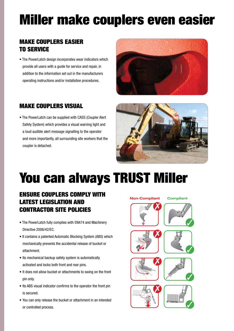### Miller make couplers even easier

#### MAKE COUPLERS EASIER TO SERVICE

• The PowerLatch design incorporates wear indicators which provide all users with a guide for service and repair, in addition to the information set out in the manufacturers operating instructions and/or installation procedures.

#### MAKE COUPLERS VISUAL

• The PowerLatch can be supplied with CASS (Coupler Alert Safety System) which provides a visual warning light and a loud audible alert message signalling to the operator and more importantly, all surrounding site workers that the coupler is detached.





### You can always TRUST Miller

#### ENSURE COUPLERS COMPLY WITH LATEST LEGISLATION AND CONTRACTOR SITE POLICIES

- The PowerLatch fully complies with EN474 and Machinery Directive 2006/42/EC.
- It contains a patented Automatic Blocking System (ABS) which mechanically prevents the accidental release of bucket or attachment.
- Its mechanical backup safety system is automatically activated and locks both front and rear pins.
- It does not allow bucket or attachments to swing on the front pin only.
- Its ABS visual indicator confirms to the operator the front pin is secured.
- You can only release the bucket or attachment in an intended or controlled process.

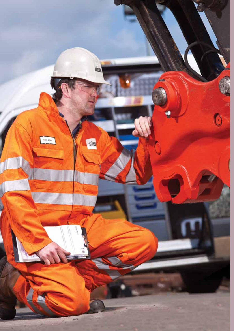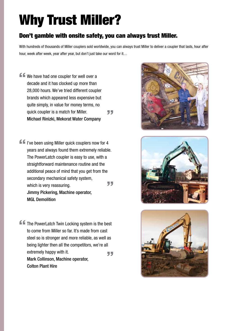# Why Trust Miller?

#### Don't gamble with onsite safety, you can always trust Miller.

With hundreds of thousands of Miller couplers sold worldwide, you can always trust Miller to deliver a coupler that lasts, hour after hour, week after week, year after year, but don't just take our word for it…

- **f**  $\blacktriangle$  We have had one coupler for well over a decade and it has clocked up more than 28,000 hours. We've tried different coupler brands which appeared less expensive but quite simply, in value for money terms, no quick coupler is a match for Miller. Michael Rinizki, Mekorat Water Company **"**
- **"**I've been using Miller quick couplers now for 4 years and always found them extremely reliable. The PowerLatch coupler is easy to use, with a straightforward maintenance routine and the additional peace of mind that you get from the secondary mechanical safety system, which is very reassuring. Jimmy Pickering, Machine operator, MGL Demolition **"**

**f f** The PowerLatch Twin Locking system is the best to come from Miller so far. It's made from cast steel so is stronger and more reliable, as well as being lighter then all the competitors, we're all extremely happy with it. Mark Collinson, Machine operator, Colton Plant Hire **"**





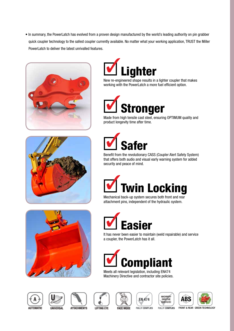• In summary, the PowerLatch has evolved from a proven design manufactured by the world's leading authority on pin grabber quick coupler technology to the safest coupler currently available. No matter what your working application, TRUST the Miller PowerLatch to deliver the latest unrivalled features.









New re-engineered shape results in a lighter coupler that makes working with the PowerLatch a more fuel efficient option.



Made from high tensile cast steel, ensuring OPTIMUM quality and product longevity time after time.



Benefit from the revolutionary CASS (Coupler Alert Safety System) that offers both audio and visual early warning system for added security and peace of mind.



Mechanical back-up system secures both front and rear attachment pins, independent of the hydraulic system.



It has never been easier to maintain (weld repairable) and service a coupler, the PowerLatch has it all.



Meets all relevant legislation, including EN474 Machinery Directive and contractor site policies.



















**AUTOMATIC** 

**ATTACHMENTS** 

**LIFTING EYE** 

**FULLY COMPLIES** 

FRONT & REAR GREEN TECHNOLOGY